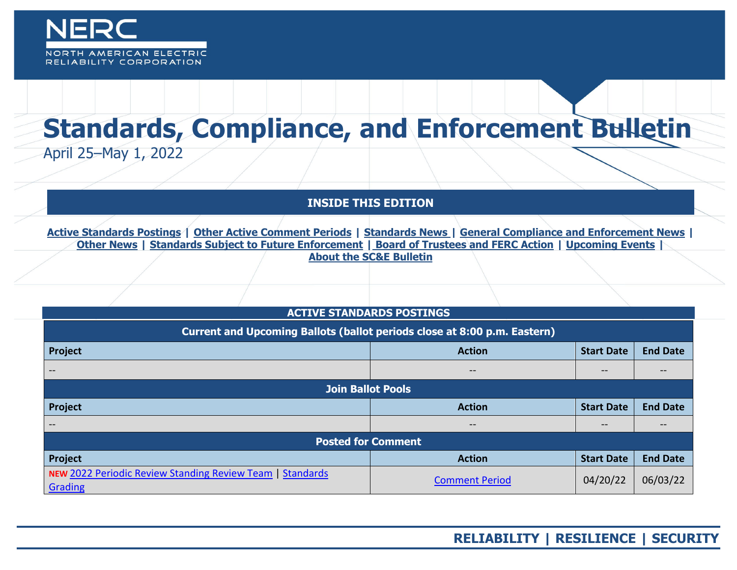

# **Standards, Compliance, and Enforcement Bulletin** April 25–May 1, 2022

**INSIDE THIS EDITION**

**Active Standards Postings | [Other Active Comment Periods](#page-1-0) | [Standards News](#page-1-1) | [General Compliance and Enforcement News](#page-1-2) | [Other News](#page-2-0) | [Standards Subject to Future Enforcement](#page-2-1) | Board of Trustees and FERC Action | Upcoming Events | About the SC&E Bulletin**

# **ACTIVE STANDARDS POSTINGS**

| Current and Upcoming Ballots (ballot periods close at 8:00 p.m. Eastern)       |                          |                   |                 |
|--------------------------------------------------------------------------------|--------------------------|-------------------|-----------------|
| Project                                                                        | <b>Action</b>            | <b>Start Date</b> | <b>End Date</b> |
| $- -$                                                                          | $\qquad \qquad -$        | $\qquad \qquad -$ | --              |
| <b>Join Ballot Pools</b>                                                       |                          |                   |                 |
| Project                                                                        | <b>Action</b>            | <b>Start Date</b> | <b>End Date</b> |
|                                                                                | $\qquad \qquad \qquad -$ | --                |                 |
| <b>Posted for Comment</b>                                                      |                          |                   |                 |
| Project                                                                        | <b>Action</b>            | <b>Start Date</b> | <b>End Date</b> |
| NEW 2022 Periodic Review Standing Review Team  <br><b>Standards</b><br>Grading | <b>Comment Period</b>    | 04/20/22          | 06/03/22        |

# **RELIABILITY | RESILIENCE | SECURITY**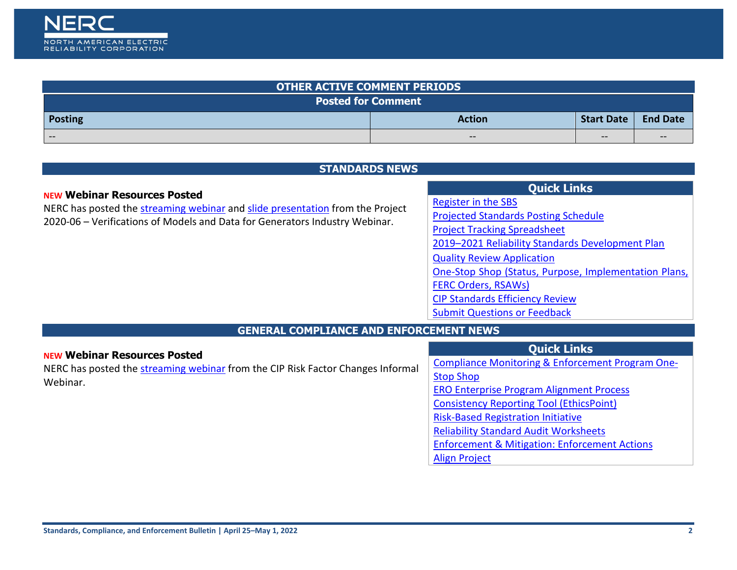

<span id="page-1-0"></span>

| <b>OTHER ACTIVE COMMENT PERIODS</b> |                          |                                                |                        |
|-------------------------------------|--------------------------|------------------------------------------------|------------------------|
| <b>Posted for Comment</b>           |                          |                                                |                        |
| <b>Posting</b>                      | <b>Action</b>            | <b>Start Date</b>                              | <b>End Date</b>        |
| $\qquad \qquad \blacksquare$        | $\overline{\phantom{m}}$ | $\hspace{0.1mm}-\hspace{0.1mm}-\hspace{0.1mm}$ | $\qquad \qquad \cdots$ |

| <b>STANDARDS NEWS</b> |  |
|-----------------------|--|
|                       |  |

#### <span id="page-1-1"></span>**NEW Webinar Resources Posted**

NERC has posted the [streaming webinar](https://nam04.safelinks.protection.outlook.com/?url=https%3A%2F%2Fnerc.webex.com%2Fwebappng%2Fsites%2Fnerc%2Frecording%2F82e78499a2ec103abf0f00505681f098%2Fplayback&data=05%7C01%7CAmy.Klagholz%40nerc.net%7Cfafb93a9e4af4c9ef0ac08da26cf9aa9%7Ca2d34bfabd5b4dc39a2e098f99296771%7C0%7C0%7C637864970354026462%7CUnknown%7CTWFpbGZsb3d8eyJWIjoiMC4wLjAwMDAiLCJQIjoiV2luMzIiLCJBTiI6Ik1haWwiLCJXVCI6Mn0%3D%7C3000%7C%7C%7C&sdata=I111unGoxX4CadZsyO3S43G89kJR6JMOrSNSJjnyTFk%3D&reserved=0) and [slide presentation](https://nam04.safelinks.protection.outlook.com/?url=https%3A%2F%2Fwww.nerc.com%2Fpa%2FStand%2FProject_2020_06_Verifications_of_Models_and_Data_f%2F2020-06_Industry_Webinar_Slides_04202022.pdf&data=05%7C01%7CAmy.Klagholz%40nerc.net%7Cfafb93a9e4af4c9ef0ac08da26cf9aa9%7Ca2d34bfabd5b4dc39a2e098f99296771%7C0%7C0%7C637864970354026462%7CUnknown%7CTWFpbGZsb3d8eyJWIjoiMC4wLjAwMDAiLCJQIjoiV2luMzIiLCJBTiI6Ik1haWwiLCJXVCI6Mn0%3D%7C3000%7C%7C%7C&sdata=cD2pmmKez23zkeJle4BZ%2BYh9Ez%2FtmAuRJFO9CknXqrk%3D&reserved=0) from the Project 2020-06 – Verifications of Models and Data for Generators Industry Webinar.

# **Quick Links**

[Register in the SBS](https://sbs.nerc.net/)

[Projected Standards Posting Schedule](http://www.nerc.com/pa/Stand/Documents/Projected_Posting_Schedule.pdf)

[Project Tracking Spreadsheet](https://www.nerc.com/comm/SC/Project%20Management%20and%20Oversight%20Subcommittee%20DL/Project%20Tracking%20Spreadsheet.xlsx)

[2019–2021 Reliability Standards Development Plan](https://www.nerc.com/pa/Stand/Standards%20Development%20Plan%20Library/2019-2021_Final_RSDP_102018.pdf) 

[Quality Review Application](https://www.nerc.net/nercsurvey/Survey.aspx?s=bd89c1a0a0da443bbcc2416f868de383)

[One-Stop Shop \(Status, Purpose, Implementation Plans,](https://www.nerc.com/pa/Stand/Standard%20Purpose%20Statement%20DL/US_Standard_One-Stop-Shop.xlsx) 

[FERC Orders, RSAWs\)](https://www.nerc.com/pa/Stand/Standard%20Purpose%20Statement%20DL/US_Standard_One-Stop-Shop.xlsx)

[CIP Standards Efficiency Review](https://www.nerc.com/pa/Stand/Pages/CIP-Standards-Efficiency-Review.aspx)

[Submit Questions or Feedback](https://support.nerc.net/)

# **GENERAL COMPLIANCE AND ENFORCEMENT NEWS**

<span id="page-1-2"></span>

| <b>NEW Webinar Resources Posted</b>                                             | <b>Quick Links</b>                                          |
|---------------------------------------------------------------------------------|-------------------------------------------------------------|
| NERC has posted the streaming webinar from the CIP Risk Factor Changes Informal | <b>Compliance Monitoring &amp; Enforcement Program One-</b> |
| Webinar.                                                                        | <b>Stop Shop</b>                                            |
|                                                                                 | <b>ERO Enterprise Program Alignment Process</b>             |
|                                                                                 | <b>Consistency Reporting Tool (EthicsPoint)</b>             |
|                                                                                 | <b>Risk-Based Registration Initiative</b>                   |
|                                                                                 | <b>Reliability Standard Audit Worksheets</b>                |
|                                                                                 | <b>Enforcement &amp; Mitigation: Enforcement Actions</b>    |
|                                                                                 | <b>Align Project</b>                                        |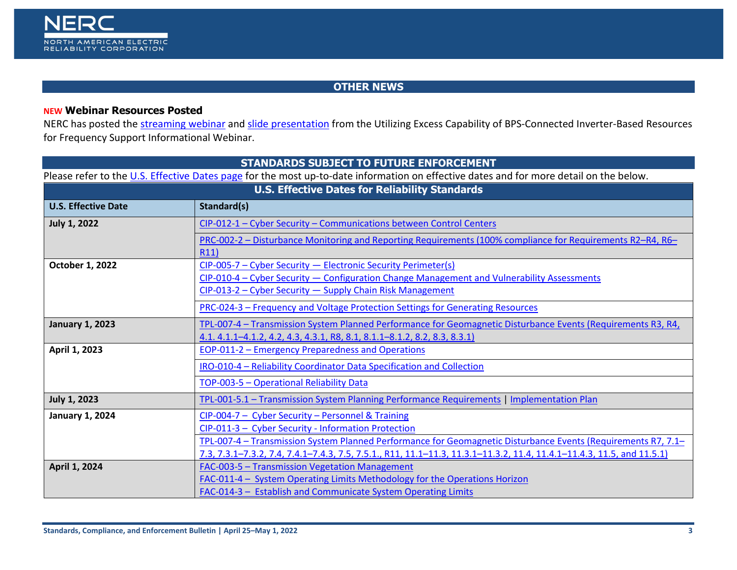

# **OTHER NEWS**

# <span id="page-2-0"></span>**NEW Webinar Resources Posted**

NERC has posted the [streaming webinar](https://nam04.safelinks.protection.outlook.com/?url=https%3A%2F%2Fnerc.webex.com%2Frecordingservice%2Fsites%2Fnerc%2Frecording%2F6cd07f37a230103aaf5f00505681f098%2Fplayback&data=05%7C01%7CAmy.Klagholz%40nerc.net%7Cbe891ed5f87a472344a808da2314478e%7Ca2d34bfabd5b4dc39a2e098f99296771%7C0%7C0%7C637860867250346705%7CUnknown%7CTWFpbGZsb3d8eyJWIjoiMC4wLjAwMDAiLCJQIjoiV2luMzIiLCJBTiI6Ik1haWwiLCJXVCI6Mn0%3D%7C3000%7C%7C%7C&sdata=oKxiUnJz8SqP9w4xNni38%2BribnF5HvPp8O2ZRLL1OZ4%3D&reserved=0) and [slide presentation](https://nam04.safelinks.protection.outlook.com/?url=https%3A%2F%2Fwww.nerc.com%2Fcomm%2FRSTC%2FIRPS%2FWebinar_Utilizing_Excess_IBR_Capability_FR.pdf&data=05%7C01%7CAmy.Klagholz%40nerc.net%7Cbe891ed5f87a472344a808da2314478e%7Ca2d34bfabd5b4dc39a2e098f99296771%7C0%7C0%7C637860867250346705%7CUnknown%7CTWFpbGZsb3d8eyJWIjoiMC4wLjAwMDAiLCJQIjoiV2luMzIiLCJBTiI6Ik1haWwiLCJXVCI6Mn0%3D%7C3000%7C%7C%7C&sdata=GxnLAyT3OM20ufRlXERBh%2B4ag1OGJYvnRVyXpBdd5cM%3D&reserved=0) from the Utilizing Excess Capability of BPS-Connected Inverter-Based Resources for Frequency Support Informational Webinar.

<span id="page-2-1"></span>

| <b>STANDARDS SUBJECT TO FUTURE ENFORCEMENT</b>                                                                                         |                                                                                                                        |  |
|----------------------------------------------------------------------------------------------------------------------------------------|------------------------------------------------------------------------------------------------------------------------|--|
| Please refer to the U.S. Effective Dates page for the most up-to-date information on effective dates and for more detail on the below. |                                                                                                                        |  |
| <b>U.S. Effective Dates for Reliability Standards</b>                                                                                  |                                                                                                                        |  |
| <b>U.S. Effective Date</b>                                                                                                             | Standard(s)                                                                                                            |  |
| <b>July 1, 2022</b>                                                                                                                    | CIP-012-1 - Cyber Security - Communications between Control Centers                                                    |  |
|                                                                                                                                        | PRC-002-2 – Disturbance Monitoring and Reporting Requirements (100% compliance for Requirements R2-R4, R6-<br>R11)     |  |
| October 1, 2022                                                                                                                        | CIP-005-7 - Cyber Security - Electronic Security Perimeter(s)                                                          |  |
|                                                                                                                                        | CIP-010-4 - Cyber Security - Configuration Change Management and Vulnerability Assessments                             |  |
|                                                                                                                                        | CIP-013-2 - Cyber Security - Supply Chain Risk Management                                                              |  |
|                                                                                                                                        | PRC-024-3 - Frequency and Voltage Protection Settings for Generating Resources                                         |  |
| <b>January 1, 2023</b>                                                                                                                 | TPL-007-4 - Transmission System Planned Performance for Geomagnetic Disturbance Events (Requirements R3, R4,           |  |
|                                                                                                                                        | 4.1. 4.1.1-4.1.2, 4.2, 4.3, 4.3.1, R8, 8.1, 8.1.1-8.1.2, 8.2, 8.3, 8.3.1)                                              |  |
| April 1, 2023                                                                                                                          | EOP-011-2 – Emergency Preparedness and Operations                                                                      |  |
|                                                                                                                                        | IRO-010-4 - Reliability Coordinator Data Specification and Collection                                                  |  |
|                                                                                                                                        | TOP-003-5 - Operational Reliability Data                                                                               |  |
| <b>July 1, 2023</b>                                                                                                                    | TPL-001-5.1 - Transmission System Planning Performance Requirements   Implementation Plan                              |  |
| <b>January 1, 2024</b>                                                                                                                 | CIP-004-7 - Cyber Security - Personnel & Training                                                                      |  |
|                                                                                                                                        | CIP-011-3 - Cyber Security - Information Protection                                                                    |  |
|                                                                                                                                        | TPL-007-4 – Transmission System Planned Performance for Geomagnetic Disturbance Events (Requirements R7, 7.1–          |  |
|                                                                                                                                        | 7.3, 7.3.1-7.3.2, 7.4, 7.4.1-7.4.3, 7.5, 7.5.1., R11, 11.1-11.3, 11.3.1-11.3.2, 11.4, 11.4.1-11.4.3, 11.5, and 11.5.1) |  |
| April 1, 2024                                                                                                                          | <b>FAC-003-5 - Transmission Vegetation Management</b>                                                                  |  |
|                                                                                                                                        | FAC-011-4 - System Operating Limits Methodology for the Operations Horizon                                             |  |
|                                                                                                                                        | FAC-014-3 - Establish and Communicate System Operating Limits                                                          |  |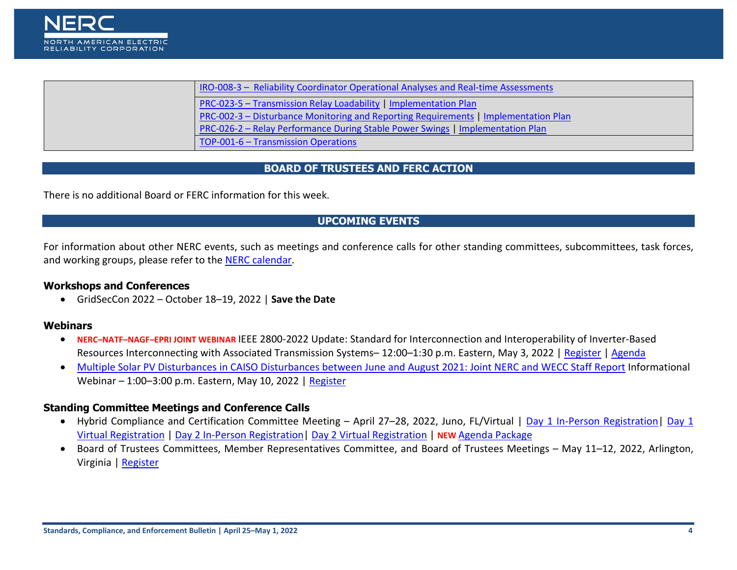

| IRO-008-3 - Reliability Coordinator Operational Analyses and Real-time Assessments  |
|-------------------------------------------------------------------------------------|
| PRC-023-5 - Transmission Relay Loadability   Implementation Plan                    |
| PRC-002-3 – Disturbance Monitoring and Reporting Requirements   Implementation Plan |
| PRC-026-2 - Relay Performance During Stable Power Swings   Implementation Plan      |
| TOP-001-6 - Transmission Operations                                                 |

#### **BOARD OF TRUSTEES AND FERC ACTION**

There is no additional Board or FERC information for this week.

# **UPCOMING EVENTS**

For information about other NERC events, such as meetings and conference calls for other standing committees, subcommittees, task forces, and working groups, please refer to the [NERC calendar.](http://www.nerc.com/Pages/Calendar.aspx)

#### **Workshops and Conferences**

• GridSecCon 2022 – October 18–19, 2022 | **Save the Date**

#### **Webinars**

- **NERC–NATF–NAGF–EPRI JOINT WEBINAR** IEEE 2800-2022 Update: Standard for Interconnection and Interoperability of Inverter-Based Resources Interconnecting with Associated Transmission Systems– 12:00–1:30 p.m. Eastern, May 3, 2022 | [Register](https://nam04.safelinks.protection.outlook.com/?url=https%3A%2F%2Furldefense.com%2Fv3%2F__https%3A%2Fepri.webex.com%2Fepri%2Fj.php%3FMTID%3De2023bce49bf99196092972d25c6f2f8b__%3B!!MLsdJ25-fIk!4Oil0S7VpiO5_j2VqIut8TRp1_rZ2UArtTXj5D7eiLdcOY3KNg9pTOI59uJZMfHA%24&data=04%7C01%7CAmy.Klagholz%40nerc.net%7Cfc3bde8cc30a4580869408da17dd620e%7Ca2d34bfabd5b4dc39a2e098f99296771%7C0%7C0%7C637848536848602418%7CUnknown%7CTWFpbGZsb3d8eyJWIjoiMC4wLjAwMDAiLCJQIjoiV2luMzIiLCJBTiI6Ik1haWwiLCJXVCI6Mn0%3D%7C3000&sdata=y5CfLg%2FbsnZaJZ2OLiokprEYaZ4aSrVjo81KPUYs4sM%3D&reserved=0) | [Agenda](https://nam04.safelinks.protection.outlook.com/?url=https%3A%2F%2Fwww.nerc.com%2Fcomm%2FRSTC%2FDocuments%2F2022-05_IEEE%25202800-2022_Update.pdf&data=04%7C01%7CAmy.Klagholz%40nerc.net%7Cfc3bde8cc30a4580869408da17dd620e%7Ca2d34bfabd5b4dc39a2e098f99296771%7C0%7C0%7C637848536848602418%7CUnknown%7CTWFpbGZsb3d8eyJWIjoiMC4wLjAwMDAiLCJQIjoiV2luMzIiLCJBTiI6Ik1haWwiLCJXVCI6Mn0%3D%7C3000&sdata=C%2BijRz91zMG0h0EqoFbBtPVDE8s6n030nKtQ0TAwX7c%3D&reserved=0)
- [Multiple Solar PV Disturbances in CAISO Disturbances between June and August 2021: Joint NERC and WECC Staff Report](https://nam04.safelinks.protection.outlook.com/?url=https%3A%2F%2Fwww.nerc.com%2Fpa%2Frrm%2Fea%2FDocuments%2FNERC_2021_California_Solar_PV_Disturbances_Report.pdf&data=04%7C01%7CAmy.Klagholz%40nerc.net%7C41c5c6e85c9f45165fc808da1d8b9a71%7Ca2d34bfabd5b4dc39a2e098f99296771%7C0%7C0%7C637854782677262162%7CUnknown%7CTWFpbGZsb3d8eyJWIjoiMC4wLjAwMDAiLCJQIjoiV2luMzIiLCJBTiI6Ik1haWwiLCJXVCI6Mn0%3D%7C3000&sdata=mDmaYwpCVKj3v1cyGHYvBA5DZeOxjgmZGFBfmnnHGmg%3D&reserved=0) Informational Webinar – 1:00–3:00 p.m. Eastern, May 10, 2022 | [Register](https://nam04.safelinks.protection.outlook.com/?url=https%3A%2F%2Fnerc.webex.com%2Fnerc%2Fonstage%2Fg.php%3FMTID%3De79ff253d9dc25fac917763c9439ae6aa&data=04%7C01%7CAmy.Klagholz%40nerc.net%7C41c5c6e85c9f45165fc808da1d8b9a71%7Ca2d34bfabd5b4dc39a2e098f99296771%7C0%7C0%7C637854782677262162%7CUnknown%7CTWFpbGZsb3d8eyJWIjoiMC4wLjAwMDAiLCJQIjoiV2luMzIiLCJBTiI6Ik1haWwiLCJXVCI6Mn0%3D%7C3000&sdata=lGPERT0jbVLyBxJP9fbnKYpNm6CCCcRjkdv3jeDZ15I%3D&reserved=0)

#### **Standing Committee Meetings and Conference Calls**

- Hybrid Compliance and Certification Committee Meeting April 27–28, 2022, Juno, FL/Virtual | Day [1 In-Person Registration|](https://nam04.safelinks.protection.outlook.com/?url=https%3A%2F%2Fwww.eventbrite.com%2Fe%2Fcompliance-and-certification-committee-ccc-main-meeting-day-1-in-person-registration-294082648117&data=04%7C01%7CAmy.Klagholz%40nerc.net%7C4a2a00cad07e4ee7c6dd08da02ad424a%7Ca2d34bfabd5b4dc39a2e098f99296771%7C0%7C0%7C637825240418385277%7CUnknown%7CTWFpbGZsb3d8eyJWIjoiMC4wLjAwMDAiLCJQIjoiV2luMzIiLCJBTiI6Ik1haWwiLCJXVCI6Mn0%3D%7C3000&sdata=%2FSfOSqzO8K18%2FCAwrLi%2BnCKYPtem9yN7BnV7zlE8Tdo%3D&reserved=0) [Day 1](https://nam04.safelinks.protection.outlook.com/?url=https%3A%2F%2Fnerc.webex.com%2Fnerc%2Fonstage%2Fg.php%3FMTID%3De10cd967c4af99da597f983e50483762d&data=04%7C01%7CAmy.Klagholz%40nerc.net%7C4a2a00cad07e4ee7c6dd08da02ad424a%7Ca2d34bfabd5b4dc39a2e098f99296771%7C0%7C0%7C637825240418385277%7CUnknown%7CTWFpbGZsb3d8eyJWIjoiMC4wLjAwMDAiLCJQIjoiV2luMzIiLCJBTiI6Ik1haWwiLCJXVCI6Mn0%3D%7C3000&sdata=KxndqWRUXxIGs%2Bep0w0BrZEBDt1F7SRavOn1EFKv6aY%3D&reserved=0)  [Virtual Registration](https://nam04.safelinks.protection.outlook.com/?url=https%3A%2F%2Fnerc.webex.com%2Fnerc%2Fonstage%2Fg.php%3FMTID%3De10cd967c4af99da597f983e50483762d&data=04%7C01%7CAmy.Klagholz%40nerc.net%7C4a2a00cad07e4ee7c6dd08da02ad424a%7Ca2d34bfabd5b4dc39a2e098f99296771%7C0%7C0%7C637825240418385277%7CUnknown%7CTWFpbGZsb3d8eyJWIjoiMC4wLjAwMDAiLCJQIjoiV2luMzIiLCJBTiI6Ik1haWwiLCJXVCI6Mn0%3D%7C3000&sdata=KxndqWRUXxIGs%2Bep0w0BrZEBDt1F7SRavOn1EFKv6aY%3D&reserved=0) | [Day 2 In-Person Registration|](https://nam04.safelinks.protection.outlook.com/?url=https%3A%2F%2Fwww.eventbrite.com%2Fe%2Fcompliance-and-certification-committee-ccc-main-meeting-day-2-in-person-registration-294107051107&data=04%7C01%7CAmy.Klagholz%40nerc.net%7C4a2a00cad07e4ee7c6dd08da02ad424a%7Ca2d34bfabd5b4dc39a2e098f99296771%7C0%7C0%7C637825240418385277%7CUnknown%7CTWFpbGZsb3d8eyJWIjoiMC4wLjAwMDAiLCJQIjoiV2luMzIiLCJBTiI6Ik1haWwiLCJXVCI6Mn0%3D%7C3000&sdata=lkyDrJ1kYoIlPBDYEfBk%2BRekHWnf4kXUdV17e0ZAM7s%3D&reserved=0) [Day 2 Virtual Registration](https://nam04.safelinks.protection.outlook.com/?url=https%3A%2F%2Fnerc.webex.com%2Fnerc%2Fonstage%2Fg.php%3FMTID%3De36b6d49b3c2f11fdca7abf58600c5ec7&data=04%7C01%7CAmy.Klagholz%40nerc.net%7C4a2a00cad07e4ee7c6dd08da02ad424a%7Ca2d34bfabd5b4dc39a2e098f99296771%7C0%7C0%7C637825240418385277%7CUnknown%7CTWFpbGZsb3d8eyJWIjoiMC4wLjAwMDAiLCJQIjoiV2luMzIiLCJBTiI6Ik1haWwiLCJXVCI6Mn0%3D%7C3000&sdata=OiXBQ2CIYsldcEsqGXaFfI5IxZrMWx4ywvupDER%2FEgU%3D&reserved=0) | **NEW** [Agenda Package](https://nam04.safelinks.protection.outlook.com/?url=https%3A%2F%2Fwww.nerc.com%2Fcomm%2FCCC%2FAgenda%2520Highlights%2520and%2520Minutes%25202013%2FCompliance%2520and%2520Certification%2520Committee%2520(CCC)%2520Agenda%2520Package%2520April%25202022.pdf&data=05%7C01%7CAmy.Klagholz%40nerc.net%7C7dcf265124d64ba5c9a308da23944581%7Ca2d34bfabd5b4dc39a2e098f99296771%7C0%7C0%7C637861416973190905%7CUnknown%7CTWFpbGZsb3d8eyJWIjoiMC4wLjAwMDAiLCJQIjoiV2luMzIiLCJBTiI6Ik1haWwiLCJXVCI6Mn0%3D%7C3000%7C%7C%7C&sdata=twNsUXM3euUuR4H%2BHTgLQVUiLyf1BwNXkg6pBGJBb34%3D&reserved=0)
- Board of Trustees Committees, Member Representatives Committee, and Board of Trustees Meetings May 11–12, 2022, Arlington, Virginia [| Register](https://nam04.safelinks.protection.outlook.com/?url=https%3A%2F%2Fwww.eventbrite.com%2Fe%2Fnerc-board-of-trustees-and-member-representatives-committee-meetings-registration-289877640827&data=04%7C01%7CAmy.Klagholz%40nerc.net%7C3bfb3f7dbf974408a3d208d9fc970a81%7Ca2d34bfabd5b4dc39a2e098f99296771%7C0%7C0%7C637818547949590200%7CUnknown%7CTWFpbGZsb3d8eyJWIjoiMC4wLjAwMDAiLCJQIjoiV2luMzIiLCJBTiI6Ik1haWwiLCJXVCI6Mn0%3D%7C3000&sdata=ExX3%2BwbxTL6dCUEZHfsXMs0kfUJ61%2FhXsUjCtUa%2F%2BZg%3D&reserved=0)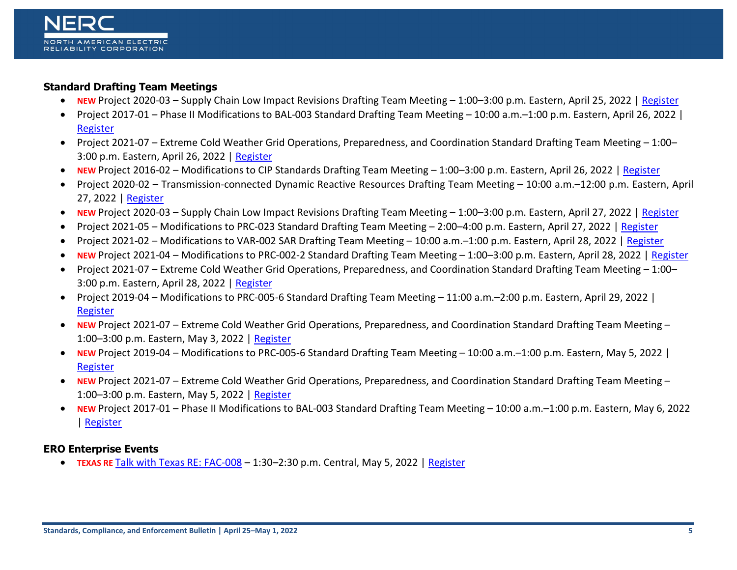# **Standard Drafting Team Meetings**

- **NEW** Project 2020-03 Supply Chain Low Impact Revisions Drafting Team Meeting 1:00–3:00 p.m. Eastern, April 25, 2022 | [Register](https://www.nerc.com/pa/Stand/Lists/stand/DispForm.aspx?ID=1459)
- Project 2017-01 Phase II Modifications to BAL-003 Standard Drafting Team Meeting 10:00 a.m.–1:00 p.m. Eastern, April 26, 2022 | [Register](https://www.nerc.com/pa/Stand/Lists/stand/DispForm.aspx?ID=1451)
- Project 2021-07 Extreme Cold Weather Grid Operations, Preparedness, and Coordination Standard Drafting Team Meeting 1:00– 3:00 p.m. Eastern, April 26, 2022 | [Register](https://www.nerc.com/pa/Stand/Lists/stand/DispForm.aspx?ID=1428)
- **NEW** Project 2016-02 Modifications to CIP Standards Drafting Team Meeting 1:00–3:00 p.m. Eastern, April 26, 2022 | [Register](https://www.nerc.com/pa/Stand/Lists/stand/DispForm.aspx?ID=1458)
- Project 2020-02 Transmission-connected Dynamic Reactive Resources Drafting Team Meeting 10:00 a.m.–12:00 p.m. Eastern, April 27, 2022 | [Register](https://www.nerc.com/pa/Stand/Lists/stand/DispForm.aspx?ID=1455)
- **NEW** Project 2020-03 Supply Chain Low Impact Revisions Drafting Team Meeting 1:00–3:00 p.m. Eastern, April 27, 2022 | [Register](https://www.nerc.com/pa/Stand/Lists/stand/DispForm.aspx?ID=1460)
- Project 2021-05 Modifications to PRC-023 Standard Drafting Team Meeting 2:00–4:00 p.m. Eastern, April 27, 2022 | [Register](https://www.nerc.com/pa/Stand/Lists/stand/DispForm.aspx?ID=1442)
- Project 2021-02 Modifications to VAR-002 SAR Drafting Team Meeting 10:00 a.m.–1:00 p.m. Eastern, April 28, 2022 | [Register](https://www.nerc.com/pa/Stand/Lists/stand/DispForm.aspx?ID=1436)
- **NEW** Project 2021-04 Modifications to PRC-002-2 Standard Drafting Team Meeting 1:00–3:00 p.m. Eastern, April 28, 2022 | [Register](https://www.nerc.com/pa/Stand/Lists/stand/DispForm.aspx?ID=1465)
- Project 2021-07 Extreme Cold Weather Grid Operations, Preparedness, and Coordination Standard Drafting Team Meeting 1:00– 3:00 p.m. Eastern, April 28, 2022 | [Register](https://www.nerc.com/pa/Stand/Lists/stand/DispForm.aspx?ID=1429)
- Project 2019-04 Modifications to PRC-005-6 Standard Drafting Team Meeting 11:00 a.m.–2:00 p.m. Eastern, April 29, 2022 | [Register](https://www.nerc.com/pa/Stand/Lists/stand/DispForm.aspx?ID=1446)
- **NEW** Project 2021-07 Extreme Cold Weather Grid Operations, Preparedness, and Coordination Standard Drafting Team Meeting 1:00–3:00 p.m. Eastern, May 3, 2022 | [Register](https://www.nerc.com/pa/Stand/Lists/stand/DispForm.aspx?ID=1461)
- **NEW** Project 2019-04 Modifications to PRC-005-6 Standard Drafting Team Meeting 10:00 a.m.–1:00 p.m. Eastern, May 5, 2022 | [Register](https://www.nerc.com/pa/Stand/Lists/stand/DispForm.aspx?ID=1447)
- **NEW** Project 2021-07 Extreme Cold Weather Grid Operations, Preparedness, and Coordination Standard Drafting Team Meeting 1:00–3:00 p.m. Eastern, May 5, 2022 | [Register](https://www.nerc.com/pa/Stand/Lists/stand/DispForm.aspx?ID=1462)
- **NEW** Project 2017-01 Phase II Modifications to BAL-003 Standard Drafting Team Meeting 10:00 a.m.–1:00 p.m. Eastern, May 6, 2022 | [Register](https://www.nerc.com/pa/Stand/Lists/stand/DispForm.aspx?ID=1452)

# **ERO Enterprise Events**

• **TEXAS RE** [Talk with Texas RE: FAC-008](https://nam04.safelinks.protection.outlook.com/?url=https%3A%2F%2Fwww.texasre.org%2Fpages%2Fcalendar%2Fevents%2F2022%2Fmay%2Ftalkwithtexasrefac-008&data=04%7C01%7CAmy.Klagholz%40nerc.net%7C63c82acb675149b9085608d9f6d3f500%7Ca2d34bfabd5b4dc39a2e098f99296771%7C1%7C0%7C637812212512979870%7CUnknown%7CTWFpbGZsb3d8eyJWIjoiMC4wLjAwMDAiLCJQIjoiV2luMzIiLCJBTiI6Ik1haWwiLCJXVCI6Mn0%3D%7C3000&sdata=5V4td%2FcGAu7TC9Wyjdn20wYY9KtGdk3eBKPNLpSxXfg%3D&reserved=0) – 1:30–2:30 p.m. Central, May 5, 2022 | [Register](https://www.texasre.org/pages/calendar/events/2022/may/talkwithtexasrefac-008)